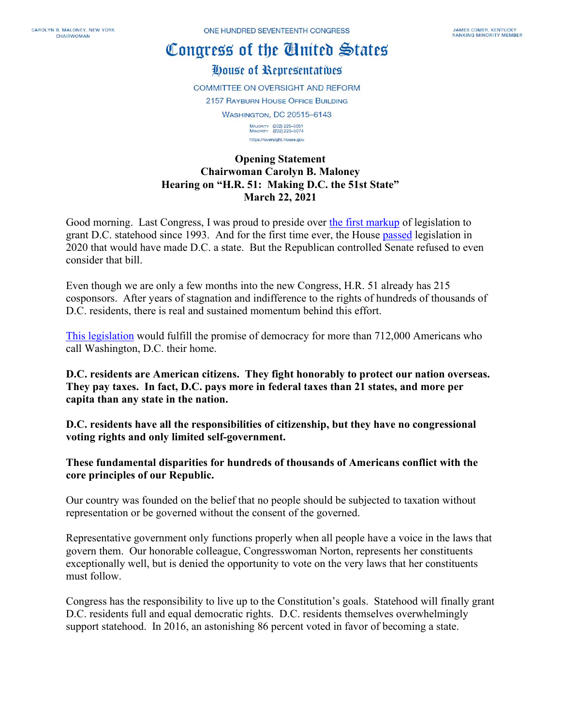## Congress of the Cluited States

House of Representatives

**COMMITTEE ON OVERSIGHT AND REFORM** 

**2157 RAYBURN HOUSE OFFICE BUILDING** 

**WASHINGTON, DC 20515-6143** 

MAJORITY (202) 225-5051<br>MINORITY (202) 225-5074 https://oversight.house.gov

## **Opening Statement Chairwoman Carolyn B. Maloney Hearing on "H.R. 51: Making D.C. the 51st State" March 22, 2021**

Good morning. Last Congress, I was proud to preside over [the first markup](https://oversight.house.gov/legislation/markups/business-meeting-on-hr-washington-dc-admission-act) of legislation to grant D.C. statehood since 1993. And for the first time ever, the House [passed](https://oversight.house.gov/news/press-releases/chairwoman-maloney-speaks-on-house-floor-in-support-of-historic-dc-statehood) legislation in 2020 that would have made D.C. a state. But the Republican controlled Senate refused to even consider that bill.

Even though we are only a few months into the new Congress, H.R. 51 already has 215 cosponsors. After years of stagnation and indifference to the rights of hundreds of thousands of D.C. residents, there is real and sustained momentum behind this effort.

[This legislation](https://oversight.house.gov/sites/democrats.oversight.house.gov/files/BILLS-117hr51ih.pdf) would fulfill the promise of democracy for more than 712,000 Americans who call Washington, D.C. their home.

**D.C. residents are American citizens. They fight honorably to protect our nation overseas. They pay taxes. In fact, D.C. pays more in federal taxes than 21 states, and more per capita than any state in the nation.**

**D.C. residents have all the responsibilities of citizenship, but they have no congressional voting rights and only limited self-government.**

**These fundamental disparities for hundreds of thousands of Americans conflict with the core principles of our Republic.**

Our country was founded on the belief that no people should be subjected to taxation without representation or be governed without the consent of the governed.

Representative government only functions properly when all people have a voice in the laws that govern them. Our honorable colleague, Congresswoman Norton, represents her constituents exceptionally well, but is denied the opportunity to vote on the very laws that her constituents must follow.

Congress has the responsibility to live up to the Constitution's goals. Statehood will finally grant D.C. residents full and equal democratic rights. D.C. residents themselves overwhelmingly support statehood. In 2016, an astonishing 86 percent voted in favor of becoming a state.